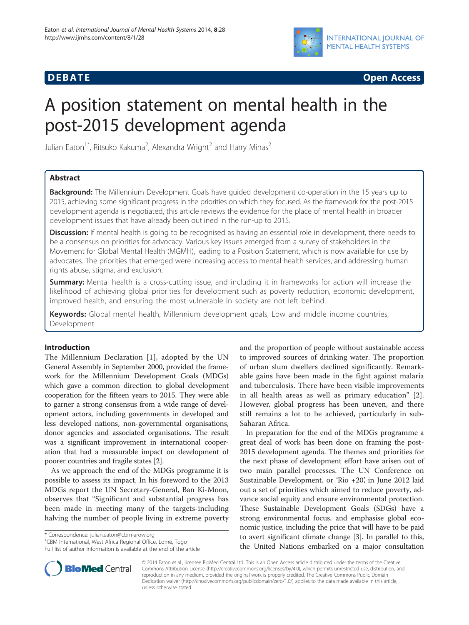



# A position statement on mental health in the post-2015 development agenda

Julian Eaton<sup>1\*</sup>, Ritsuko Kakuma<sup>2</sup>, Alexandra Wright<sup>2</sup> and Harry Minas<sup>2</sup>

# Abstract

Background: The Millennium Development Goals have guided development co-operation in the 15 years up to 2015, achieving some significant progress in the priorities on which they focused. As the framework for the post-2015 development agenda is negotiated, this article reviews the evidence for the place of mental health in broader development issues that have already been outlined in the run-up to 2015.

**Discussion:** If mental health is going to be recognised as having an essential role in development, there needs to be a consensus on priorities for advocacy. Various key issues emerged from a survey of stakeholders in the Movement for Global Mental Health (MGMH), leading to a Position Statement, which is now available for use by advocates. The priorities that emerged were increasing access to mental health services, and addressing human rights abuse, stigma, and exclusion.

**Summary:** Mental health is a cross-cutting issue, and including it in frameworks for action will increase the likelihood of achieving global priorities for development such as poverty reduction, economic development, improved health, and ensuring the most vulnerable in society are not left behind.

Keywords: Global mental health, Millennium development goals, Low and middle income countries, Development

# Introduction

The Millennium Declaration [[1\]](#page-3-0), adopted by the UN General Assembly in September 2000, provided the framework for the Millennium Development Goals (MDGs) which gave a common direction to global development cooperation for the fifteen years to 2015. They were able to garner a strong consensus from a wide range of development actors, including governments in developed and less developed nations, non-governmental organisations, donor agencies and associated organisations. The result was a significant improvement in international cooperation that had a measurable impact on development of poorer countries and fragile states [\[2](#page-3-0)].

As we approach the end of the MDGs programme it is possible to assess its impact. In his foreword to the 2013 MDGs report the UN Secretary-General, Ban Ki-Moon, observes that "Significant and substantial progress has been made in meeting many of the targets-including halving the number of people living in extreme poverty

\* Correspondence: [julian.eaton@cbm-arow.org](mailto:julian.eaton@cbm-arow.org) <sup>1</sup>

<sup>1</sup>CBM International, West Africa Regional Office, Lomé, Togo Full list of author information is available at the end of the article and the proportion of people without sustainable access to improved sources of drinking water. The proportion of urban slum dwellers declined significantly. Remarkable gains have been made in the fight against malaria and tuberculosis. There have been visible improvements in all health areas as well as primary education" [\[2](#page-3-0)]. However, global progress has been uneven, and there still remains a lot to be achieved, particularly in sub-Saharan Africa.

In preparation for the end of the MDGs programme a great deal of work has been done on framing the post-2015 development agenda. The themes and priorities for the next phase of development effort have arisen out of two main parallel processes. The UN Conference on Sustainable Development, or 'Rio +20', in June 2012 laid out a set of priorities which aimed to reduce poverty, advance social equity and ensure environmental protection. These Sustainable Development Goals (SDGs) have a strong environmental focus, and emphasise global economic justice, including the price that will have to be paid to avert significant climate change [[3\]](#page-3-0). In parallel to this, the United Nations embarked on a major consultation



© 2014 Eaton et al.; licensee BioMed Central Ltd. This is an Open Access article distributed under the terms of the Creative Commons Attribution License [\(http://creativecommons.org/licenses/by/4.0\)](http://creativecommons.org/licenses/by/4.0), which permits unrestricted use, distribution, and reproduction in any medium, provided the original work is properly credited. The Creative Commons Public Domain Dedication waiver [\(http://creativecommons.org/publicdomain/zero/1.0/](http://creativecommons.org/publicdomain/zero/1.0/)) applies to the data made available in this article, unless otherwise stated.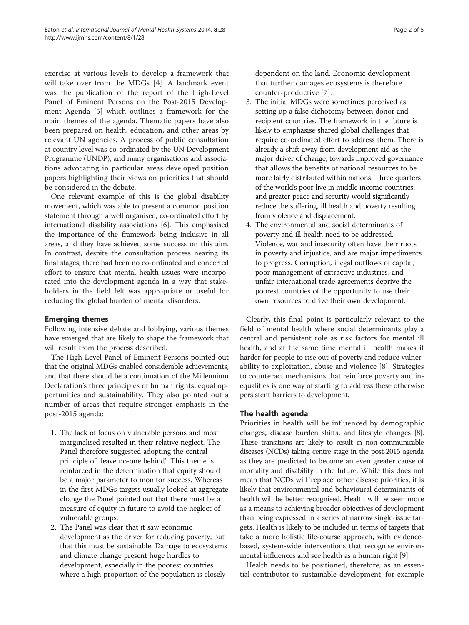exercise at various levels to develop a framework that will take over from the MDGs [[4\]](#page-3-0). A landmark event was the publication of the report of the High-Level Panel of Eminent Persons on the Post-2015 Development Agenda [\[5](#page-3-0)] which outlines a framework for the main themes of the agenda. Thematic papers have also been prepared on health, education, and other areas by relevant UN agencies. A process of public consultation at country level was co-ordinated by the UN Development Programme (UNDP), and many organisations and associations advocating in particular areas developed position papers highlighting their views on priorities that should be considered in the debate.

One relevant example of this is the global disability movement, which was able to present a common position statement through a well organised, co-ordinated effort by international disability associations [\[6](#page-4-0)]. This emphasised the importance of the framework being inclusive in all areas, and they have achieved some success on this aim. In contrast, despite the consultation process nearing its final stages, there had been no co-ordinated and concerted effort to ensure that mental health issues were incorporated into the development agenda in a way that stakeholders in the field felt was appropriate or useful for reducing the global burden of mental disorders.

## Emerging themes

Following intensive debate and lobbying, various themes have emerged that are likely to shape the framework that will result from the process described.

The High Level Panel of Eminent Persons pointed out that the original MDGs enabled considerable achievements, and that there should be a continuation of the Millennium Declaration's three principles of human rights, equal opportunities and sustainability. They also pointed out a number of areas that require stronger emphasis in the post-2015 agenda:

- 1. The lack of focus on vulnerable persons and most marginalised resulted in their relative neglect. The Panel therefore suggested adopting the central principle of 'leave no-one behind'. This theme is reinforced in the determination that equity should be a major parameter to monitor success. Whereas in the first MDGs targets usually looked at aggregate change the Panel pointed out that there must be a measure of equity in future to avoid the neglect of vulnerable groups.
- 2. The Panel was clear that it saw economic development as the driver for reducing poverty, but that this must be sustainable. Damage to ecosystems and climate change present huge hurdles to development, especially in the poorest countries where a high proportion of the population is closely

dependent on the land. Economic development that further damages ecosystems is therefore counter-productive [[7](#page-4-0)].

- 3. The initial MDGs were sometimes perceived as setting up a false dichotomy between donor and recipient countries. The framework in the future is likely to emphasise shared global challenges that require co-ordinated effort to address them. There is already a shift away from development aid as the major driver of change, towards improved governance that allows the benefits of national resources to be more fairly distributed within nations. Three quarters of the world's poor live in middle income countries, and greater peace and security would significantly reduce the suffering, ill health and poverty resulting from violence and displacement.
- 4. The environmental and social determinants of poverty and ill health need to be addressed. Violence, war and insecurity often have their roots in poverty and injustice, and are major impediments to progress. Corruption, illegal outflows of capital, poor management of extractive industries, and unfair international trade agreements deprive the poorest countries of the opportunity to use their own resources to drive their own development.

Clearly, this final point is particularly relevant to the field of mental health where social determinants play a central and persistent role as risk factors for mental ill health, and at the same time mental ill health makes it harder for people to rise out of poverty and reduce vulnerability to exploitation, abuse and violence [[8\]](#page-4-0). Strategies to counteract mechanisms that reinforce poverty and inequalities is one way of starting to address these otherwise persistent barriers to development.

## The health agenda

Priorities in health will be influenced by demographic changes, disease burden shifts, and lifestyle changes [\[8\]](#page-4-0). These transitions are likely to result in non-communicable diseases (NCDs) taking centre stage in the post-2015 agenda as they are predicted to become an even greater cause of mortality and disability in the future. While this does not mean that NCDs will 'replace' other disease priorities, it is likely that environmental and behavioural determinants of health will be better recognised. Health will be seen more as a means to achieving broader objectives of development than being expressed in a series of narrow single-issue targets. Health is likely to be included in terms of targets that take a more holistic life-course approach, with evidencebased, system-wide interventions that recognise environmental influences and see health as a human right [[9](#page-4-0)].

Health needs to be positioned, therefore, as an essential contributor to sustainable development, for example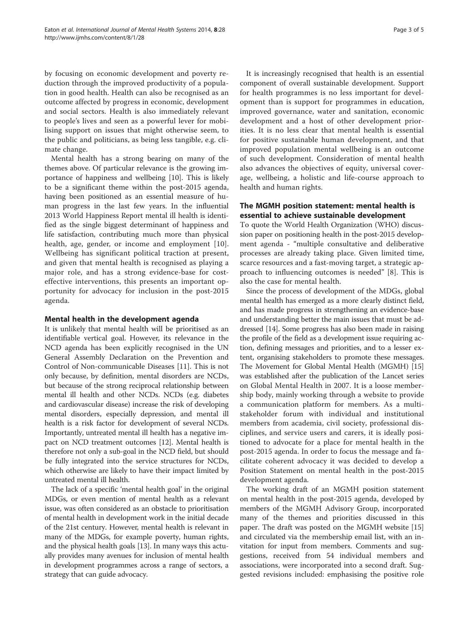by focusing on economic development and poverty reduction through the improved productivity of a population in good health. Health can also be recognised as an outcome affected by progress in economic, development and social sectors. Health is also immediately relevant to people's lives and seen as a powerful lever for mobilising support on issues that might otherwise seem, to the public and politicians, as being less tangible, e.g. climate change.

Mental health has a strong bearing on many of the themes above. Of particular relevance is the growing importance of happiness and wellbeing [[10](#page-4-0)]. This is likely to be a significant theme within the post-2015 agenda, having been positioned as an essential measure of human progress in the last few years. In the influential 2013 World Happiness Report mental ill health is identified as the single biggest determinant of happiness and life satisfaction, contributing much more than physical health, age, gender, or income and employment [[10](#page-4-0)]. Wellbeing has significant political traction at present, and given that mental health is recognised as playing a major role, and has a strong evidence-base for costeffective interventions, this presents an important opportunity for advocacy for inclusion in the post-2015 agenda.

# Mental health in the development agenda

It is unlikely that mental health will be prioritised as an identifiable vertical goal. However, its relevance in the NCD agenda has been explicitly recognised in the UN General Assembly Declaration on the Prevention and Control of Non-communicable Diseases [[11\]](#page-4-0). This is not only because, by definition, mental disorders are NCDs, but because of the strong reciprocal relationship between mental ill health and other NCDs. NCDs (e.g. diabetes and cardiovascular disease) increase the risk of developing mental disorders, especially depression, and mental ill health is a risk factor for development of several NCDs. Importantly, untreated mental ill health has a negative impact on NCD treatment outcomes [\[12\]](#page-4-0). Mental health is therefore not only a sub-goal in the NCD field, but should be fully integrated into the service structures for NCDs, which otherwise are likely to have their impact limited by untreated mental ill health.

The lack of a specific 'mental health goal' in the original MDGs, or even mention of mental health as a relevant issue, was often considered as an obstacle to prioritisation of mental health in development work in the initial decade of the 21st century. However, mental health is relevant in many of the MDGs, for example poverty, human rights, and the physical health goals [\[13](#page-4-0)]. In many ways this actually provides many avenues for inclusion of mental health in development programmes across a range of sectors, a strategy that can guide advocacy.

It is increasingly recognised that health is an essential component of overall sustainable development. Support for health programmes is no less important for development than is support for programmes in education, improved governance, water and sanitation, economic development and a host of other development priorities. It is no less clear that mental health is essential for positive sustainable human development, and that improved population mental wellbeing is an outcome of such development. Consideration of mental health also advances the objectives of equity, universal coverage, wellbeing, a holistic and life-course approach to health and human rights.

# The MGMH position statement: mental health is essential to achieve sustainable development

To quote the World Health Organization (WHO) discussion paper on positioning health in the post-2015 development agenda - "multiple consultative and deliberative processes are already taking place. Given limited time, scarce resources and a fast-moving target, a strategic approach to influencing outcomes is needed" [\[8](#page-4-0)]. This is also the case for mental health.

Since the process of development of the MDGs, global mental health has emerged as a more clearly distinct field, and has made progress in strengthening an evidence-base and understanding better the main issues that must be addressed [[14](#page-4-0)]. Some progress has also been made in raising the profile of the field as a development issue requiring action, defining messages and priorities, and to a lesser extent, organising stakeholders to promote these messages. The Movement for Global Mental Health (MGMH) [[15](#page-4-0)] was established after the publication of the Lancet series on Global Mental Health in 2007. It is a loose membership body, mainly working through a website to provide a communication platform for members. As a multistakeholder forum with individual and institutional members from academia, civil society, professional disciplines, and service users and carers, it is ideally positioned to advocate for a place for mental health in the post-2015 agenda. In order to focus the message and facilitate coherent advocacy it was decided to develop a Position Statement on mental health in the post-2015 development agenda.

The working draft of an MGMH position statement on mental health in the post-2015 agenda, developed by members of the MGMH Advisory Group, incorporated many of the themes and priorities discussed in this paper. The draft was posted on the MGMH website [[15](#page-4-0)] and circulated via the membership email list, with an invitation for input from members. Comments and suggestions, received from 54 individual members and associations, were incorporated into a second draft. Suggested revisions included: emphasising the positive role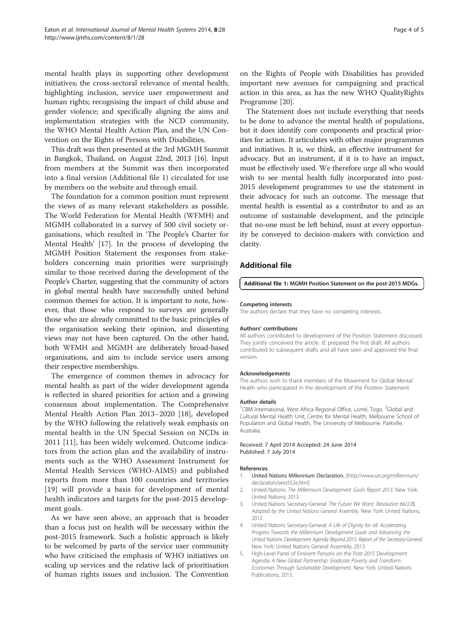<span id="page-3-0"></span>mental health plays in supporting other development initiatives; the cross-sectoral relevance of mental health; highlighting inclusion, service user empowerment and human rights; recognising the impact of child abuse and gender violence; and specifically aligning the aims and implementation strategies with the NCD community, the WHO Mental Health Action Plan, and the UN Convention on the Rights of Persons with Disabilities.

This draft was then presented at the 3rd MGMH Summit in Bangkok, Thailand, on August 22nd, 2013 [\[16](#page-4-0)]. Input from members at the Summit was then incorporated into a final version (Additional file 1) circulated for use by members on the website and through email.

The foundation for a common position must represent the views of as many relevant stakeholders as possible. The World Federation for Mental Health (WFMH) and MGMH collaborated in a survey of 500 civil society organisations, which resulted in 'The People's Charter for Mental Health' [\[17\]](#page-4-0). In the process of developing the MGMH Position Statement the responses from stakeholders concerning main priorities were surprisingly similar to those received during the development of the People's Charter, suggesting that the community of actors in global mental health have successfully united behind common themes for action. It is important to note, however, that those who respond to surveys are generally those who are already committed to the basic principles of the organisation seeking their opinion, and dissenting views may not have been captured. On the other hand, both WFMH and MGMH are deliberately broad-based organisations, and aim to include service users among their respective memberships.

The emergence of common themes in advocacy for mental health as part of the wider development agenda is reflected in shared priorities for action and a growing consensus about implementation. The Comprehensive Mental Health Action Plan 2013–2020 [[18\]](#page-4-0), developed by the WHO following the relatively weak emphasis on mental health in the UN Special Session on NCDs in 2011 [\[11](#page-4-0)], has been widely welcomed. Outcome indicators from the action plan and the availability of instruments such as the WHO Assessment Instrument for Mental Health Services (WHO-AIMS) and published reports from more than 100 countries and territories [[19](#page-4-0)] will provide a basis for development of mental health indicators and targets for the post-2015 development goals.

As we have seen above, an approach that is broader than a focus just on health will be necessary within the post-2015 framework. Such a holistic approach is likely to be welcomed by parts of the service user community who have criticised the emphasis of WHO initiatives on scaling up services and the relative lack of prioritisation of human rights issues and inclusion. The Convention on the Rights of People with Disabilities has provided important new avenues for campaigning and practical action in this area, as has the new WHO QualityRights Programme [[20\]](#page-4-0).

The Statement does not include everything that needs to be done to advance the mental health of populations, but it does identify core components and practical priorities for action. It articulates with other major programmes and initiatives. It is, we think, an effective instrument for advocacy. But an instrument, if it is to have an impact, must be effectively used. We therefore urge all who would wish to see mental health fully incorporated into post-2015 development programmes to use the statement in their advocacy for such an outcome. The message that mental health is essential as a contributor to and as an outcome of sustainable development, and the principle that no-one must be left behind, must at every opportunity be conveyed to decision-makers with conviction and clarity.

# Additional file

[Additional file 1:](http://www.biomedcentral.com/content/supplementary/1752-4458-8-28-S1.pdf) MGMH Position Statement on the post-2015 MDGs.

#### Competing interests

The authors declare that they have no competing interests.

#### Authors' contributions

All authors contributed to development of the Position Statement discussed. They jointly conceived the article. JE prepared the first draft. All authors contributed to subsequent drafts and all have seen and approved the final version.

#### Acknowledgements

The authors wish to thank members of the Movement for Global Mental Health who participated in the development of the Position Statement.

#### Author details

<sup>1</sup>CBM International, West Africa Regional Office, Lomé, Togo. <sup>2</sup>Global and Cultural Mental Health Unit, Centre for Mental Health, Melbourne School of Population and Global Health, The University of Melbourne, Parkville, Australia.

Received: 7 April 2014 Accepted: 24 June 2014 Published: 7 July 2014

#### References

- 1. United Nations Millennium Declaration. [[http://www.un.org/millennium/](http://www.un.org/millennium/declaration/ares552e.htm) [declaration/ares552e.htm\]](http://www.un.org/millennium/declaration/ares552e.htm)
- 2. United Nations: The Millennium Development Goals Report 2013. New York: United Nations; 2013.
- 3. United Nations Secretary-General: The Future We Want. Resolution 66/228, Adopted by the United Nations General Assembly. New York: United Nations; 2012.
- 4. United Nations Secretary-General: A Life of Dignity for all: Accelerating Progress Towards the Millennium Development Goals and Advancing the United Nations Development Agenda Beyond 2015: Report of the Secretary-General. New York: United Nations General Assembly; 2013.
- 5. High-Level Panel of Eminent Persons on the Post-2015 Development Agenda: A New Global Partnership: Eradicate Poverty and Transform Economies Through Sustainable Development. New York: United Nations Publications; 2013.